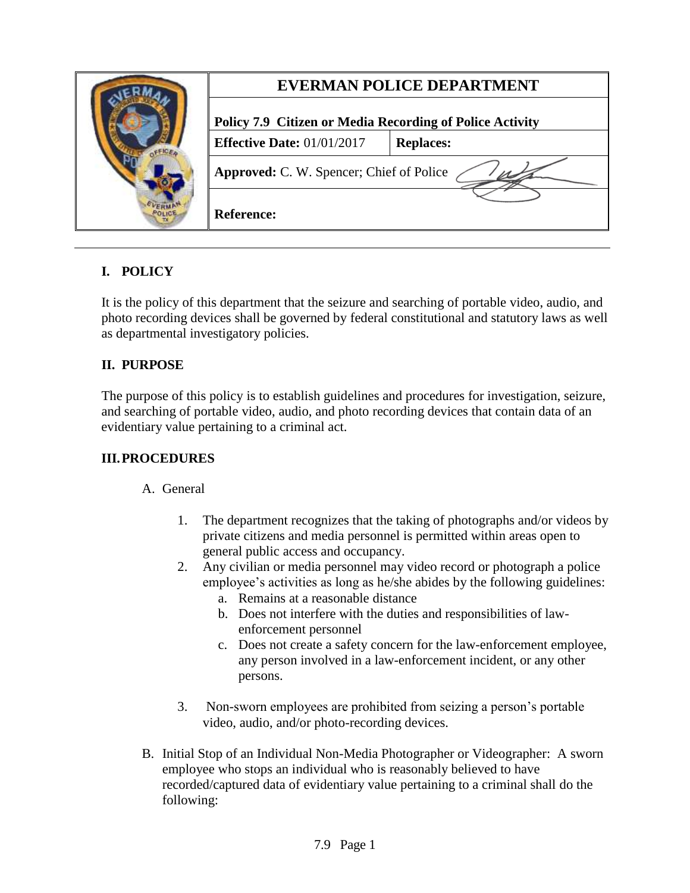|  | <b>EVERMAN POLICE DEPARTMENT</b>                                |                  |
|--|-----------------------------------------------------------------|------------------|
|  | <b>Policy 7.9 Citizen or Media Recording of Police Activity</b> |                  |
|  | <b>Effective Date:</b> $01/01/2017$                             | <b>Replaces:</b> |
|  | Approved: C. W. Spencer; Chief of Police                        |                  |
|  | <b>Reference:</b>                                               |                  |

## **I. POLICY**

It is the policy of this department that the seizure and searching of portable video, audio, and photo recording devices shall be governed by federal constitutional and statutory laws as well as departmental investigatory policies.

## **II. PURPOSE**

The purpose of this policy is to establish guidelines and procedures for investigation, seizure, and searching of portable video, audio, and photo recording devices that contain data of an evidentiary value pertaining to a criminal act.

## **III.PROCEDURES**

## A. General

- 1. The department recognizes that the taking of photographs and/or videos by private citizens and media personnel is permitted within areas open to general public access and occupancy.
- 2. Any civilian or media personnel may video record or photograph a police employee's activities as long as he/she abides by the following guidelines:
	- a. Remains at a reasonable distance
	- b. Does not interfere with the duties and responsibilities of lawenforcement personnel
	- c. Does not create a safety concern for the law-enforcement employee, any person involved in a law-enforcement incident, or any other persons.
- 3. Non-sworn employees are prohibited from seizing a person's portable video, audio, and/or photo-recording devices.
- B. Initial Stop of an Individual Non-Media Photographer or Videographer: A sworn employee who stops an individual who is reasonably believed to have recorded/captured data of evidentiary value pertaining to a criminal shall do the following: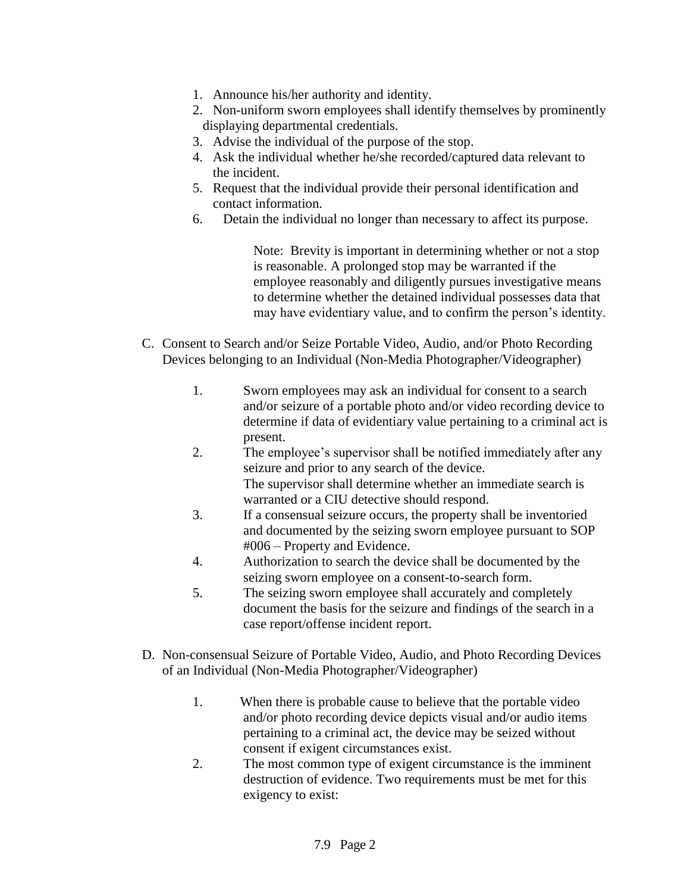- 1. Announce his/her authority and identity.
- 2. Non-uniform sworn employees shall identify themselves by prominently displaying departmental credentials.
- 3. Advise the individual of the purpose of the stop.
- 4. Ask the individual whether he/she recorded/captured data relevant to the incident.
- 5. Request that the individual provide their personal identification and contact information.
- 6. Detain the individual no longer than necessary to affect its purpose.

Note: Brevity is important in determining whether or not a stop is reasonable. A prolonged stop may be warranted if the employee reasonably and diligently pursues investigative means to determine whether the detained individual possesses data that may have evidentiary value, and to confirm the person's identity.

- C. Consent to Search and/or Seize Portable Video, Audio, and/or Photo Recording Devices belonging to an Individual (Non-Media Photographer/Videographer)
	- 1. Sworn employees may ask an individual for consent to a search and/or seizure of a portable photo and/or video recording device to determine if data of evidentiary value pertaining to a criminal act is present.
	- 2. The employee's supervisor shall be notified immediately after any seizure and prior to any search of the device. The supervisor shall determine whether an immediate search is warranted or a CIU detective should respond.
	- 3. If a consensual seizure occurs, the property shall be inventoried and documented by the seizing sworn employee pursuant to SOP #006 – Property and Evidence.
	- 4. Authorization to search the device shall be documented by the seizing sworn employee on a consent-to-search form.
	- 5. The seizing sworn employee shall accurately and completely document the basis for the seizure and findings of the search in a case report/offense incident report.
- D. Non-consensual Seizure of Portable Video, Audio, and Photo Recording Devices of an Individual (Non-Media Photographer/Videographer)
	- 1. When there is probable cause to believe that the portable video and/or photo recording device depicts visual and/or audio items pertaining to a criminal act, the device may be seized without consent if exigent circumstances exist.
	- 2. The most common type of exigent circumstance is the imminent destruction of evidence. Two requirements must be met for this exigency to exist: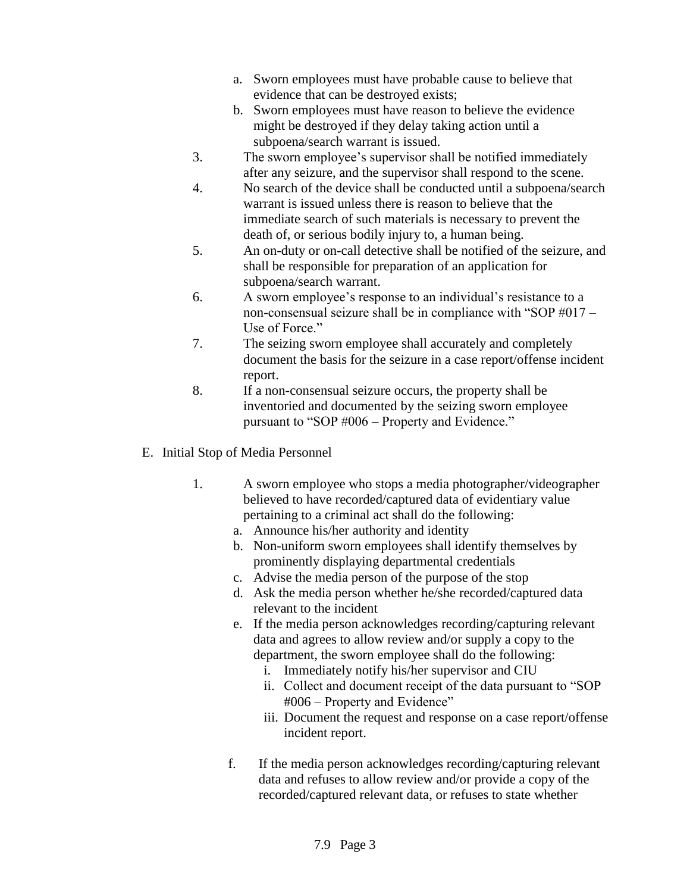- a. Sworn employees must have probable cause to believe that evidence that can be destroyed exists;
- b. Sworn employees must have reason to believe the evidence might be destroyed if they delay taking action until a subpoena/search warrant is issued.
- 3. The sworn employee's supervisor shall be notified immediately after any seizure, and the supervisor shall respond to the scene.
- 4. No search of the device shall be conducted until a subpoena/search warrant is issued unless there is reason to believe that the immediate search of such materials is necessary to prevent the death of, or serious bodily injury to, a human being.
- 5. An on-duty or on-call detective shall be notified of the seizure, and shall be responsible for preparation of an application for subpoena/search warrant.
- 6. A sworn employee's response to an individual's resistance to a non-consensual seizure shall be in compliance with "SOP #017 – Use of Force"
- 7. The seizing sworn employee shall accurately and completely document the basis for the seizure in a case report/offense incident report.
- 8. If a non-consensual seizure occurs, the property shall be inventoried and documented by the seizing sworn employee pursuant to "SOP #006 – Property and Evidence."
- E. Initial Stop of Media Personnel
	- 1. A sworn employee who stops a media photographer/videographer believed to have recorded/captured data of evidentiary value pertaining to a criminal act shall do the following:
		- a. Announce his/her authority and identity
		- b. Non-uniform sworn employees shall identify themselves by prominently displaying departmental credentials
		- c. Advise the media person of the purpose of the stop
		- d. Ask the media person whether he/she recorded/captured data relevant to the incident
		- e. If the media person acknowledges recording/capturing relevant data and agrees to allow review and/or supply a copy to the department, the sworn employee shall do the following:
			- i. Immediately notify his/her supervisor and CIU
			- ii. Collect and document receipt of the data pursuant to "SOP #006 – Property and Evidence"
			- iii. Document the request and response on a case report/offense incident report.
		- f. If the media person acknowledges recording/capturing relevant data and refuses to allow review and/or provide a copy of the recorded/captured relevant data, or refuses to state whether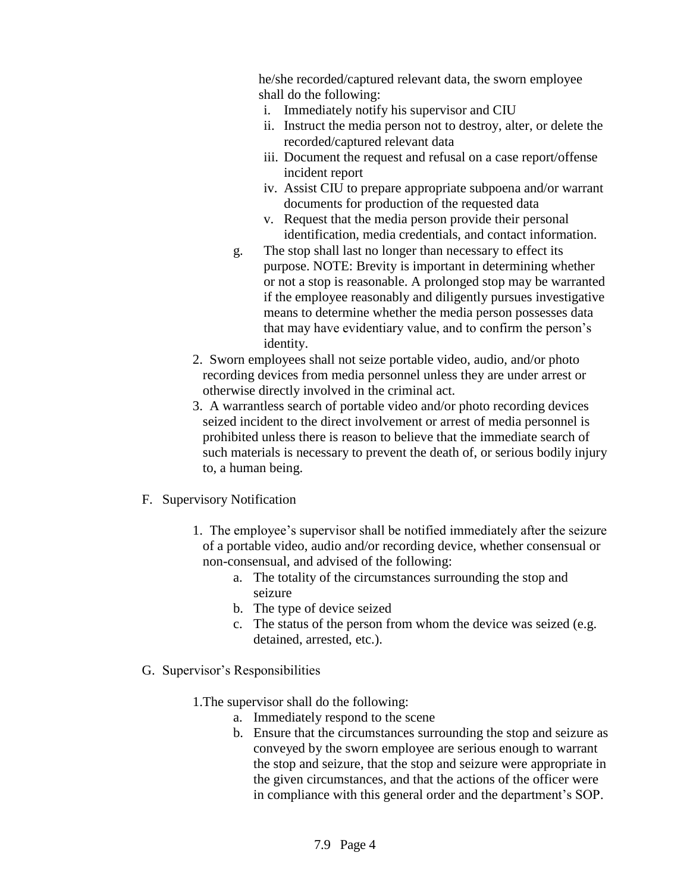he/she recorded/captured relevant data, the sworn employee shall do the following:

- i. Immediately notify his supervisor and CIU
- ii. Instruct the media person not to destroy, alter, or delete the recorded/captured relevant data
- iii. Document the request and refusal on a case report/offense incident report
- iv. Assist CIU to prepare appropriate subpoena and/or warrant documents for production of the requested data
- v. Request that the media person provide their personal identification, media credentials, and contact information.
- g. The stop shall last no longer than necessary to effect its purpose. NOTE: Brevity is important in determining whether or not a stop is reasonable. A prolonged stop may be warranted if the employee reasonably and diligently pursues investigative means to determine whether the media person possesses data that may have evidentiary value, and to confirm the person's identity.
- 2. Sworn employees shall not seize portable video, audio, and/or photo recording devices from media personnel unless they are under arrest or otherwise directly involved in the criminal act.
- 3. A warrantless search of portable video and/or photo recording devices seized incident to the direct involvement or arrest of media personnel is prohibited unless there is reason to believe that the immediate search of such materials is necessary to prevent the death of, or serious bodily injury to, a human being.
- F. Supervisory Notification
	- 1. The employee's supervisor shall be notified immediately after the seizure of a portable video, audio and/or recording device, whether consensual or non-consensual, and advised of the following:
		- a. The totality of the circumstances surrounding the stop and seizure
		- b. The type of device seized
		- c. The status of the person from whom the device was seized (e.g. detained, arrested, etc.).
- G. Supervisor's Responsibilities
	- 1.The supervisor shall do the following:
		- a. Immediately respond to the scene
		- b. Ensure that the circumstances surrounding the stop and seizure as conveyed by the sworn employee are serious enough to warrant the stop and seizure, that the stop and seizure were appropriate in the given circumstances, and that the actions of the officer were in compliance with this general order and the department's SOP.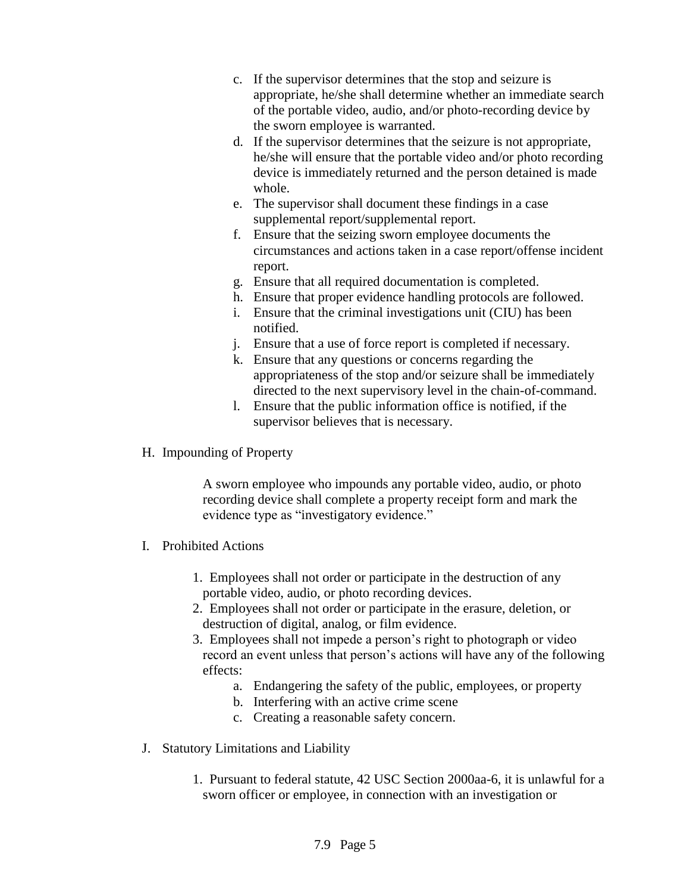- c. If the supervisor determines that the stop and seizure is appropriate, he/she shall determine whether an immediate search of the portable video, audio, and/or photo-recording device by the sworn employee is warranted.
- d. If the supervisor determines that the seizure is not appropriate, he/she will ensure that the portable video and/or photo recording device is immediately returned and the person detained is made whole.
- e. The supervisor shall document these findings in a case supplemental report/supplemental report.
- f. Ensure that the seizing sworn employee documents the circumstances and actions taken in a case report/offense incident report.
- g. Ensure that all required documentation is completed.
- h. Ensure that proper evidence handling protocols are followed.
- i. Ensure that the criminal investigations unit (CIU) has been notified.
- j. Ensure that a use of force report is completed if necessary.
- k. Ensure that any questions or concerns regarding the appropriateness of the stop and/or seizure shall be immediately directed to the next supervisory level in the chain-of-command.
- l. Ensure that the public information office is notified, if the supervisor believes that is necessary.
- H. Impounding of Property

A sworn employee who impounds any portable video, audio, or photo recording device shall complete a property receipt form and mark the evidence type as "investigatory evidence."

- I. Prohibited Actions
	- 1. Employees shall not order or participate in the destruction of any portable video, audio, or photo recording devices.
	- 2. Employees shall not order or participate in the erasure, deletion, or destruction of digital, analog, or film evidence.
	- 3. Employees shall not impede a person's right to photograph or video record an event unless that person's actions will have any of the following effects:
		- a. Endangering the safety of the public, employees, or property
		- b. Interfering with an active crime scene
		- c. Creating a reasonable safety concern.
- J. Statutory Limitations and Liability
	- 1. Pursuant to federal statute, 42 USC Section 2000aa-6, it is unlawful for a sworn officer or employee, in connection with an investigation or